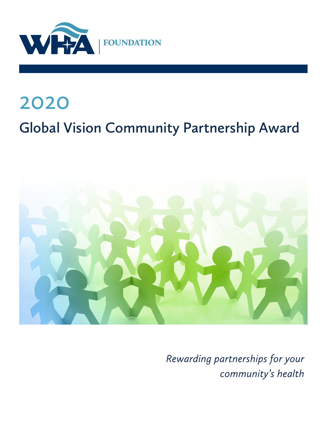

# 2020 **Global Vision Community Partnership Award**



*Rewarding partnerships for your community's health*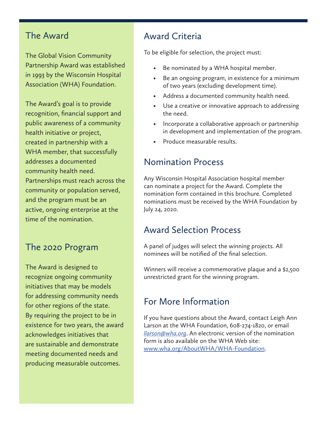#### The Award

The Global Vision Community Partnership Award was established in 1993 by the Wisconsin Hospital Association (WHA) Foundation.

The Award's goal is to provide recognition, financial support and public awareness of a community health initiative or project, created in partnership with a WHA member, that successfully addresses a documented community health need. Partnerships must reach across the community or population served, and the program must be an active, ongoing enterprise at the time of the nomination.

# The 2020 Program

The Award is designed to recognize ongoing community initiatives that may be models for addressing community needs for other regions of the state. By requiring the project to be in existence for two years, the award acknowledges initiatives that are sustainable and demonstrate meeting documented needs and producing measurable outcomes.

# Award Criteria

To be eligible for selection, the project must:

- Be nominated by a WHA hospital member.
- Be an ongoing program, in existence for a minimum of two years (excluding development time).
- Address a documented community health need.
- Use a creative or innovative approach to addressing the need.
- Incorporate a collaborative approach or partnership in development and implementation of the program.
- Produce measurable results.

# Nomination Process

Any Wisconsin Hospital Association hospital member can nominate a project for the Award. Complete the nomination form contained in this brochure. Completed nominations must be received by the WHA Foundation by July 24, 2020.

#### Award Selection Process

A panel of judges will select the winning projects. All nominees will be notified of the final selection.

Winners will receive a commemorative plaque and a \$2,500 unrestricted grant for the winning program.

# For More Information

If you have questions about the Award, contact Leigh Ann Larson at the WHA Foundation, 608-274-1820, or email *[llarson@wha.org](mailto:llarson@wha.org)*. An electronic version of the nomination form is also available on the WHA Web site: [www.wha.org/AboutWHA/WHA-Foundation.](https://www.wha.org/AboutWHA/WHA-Foundation)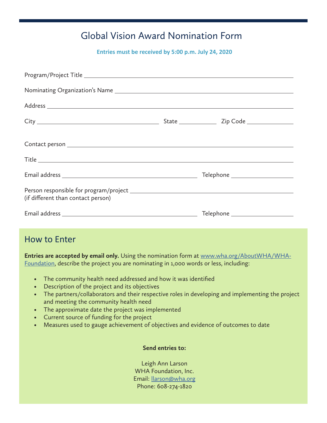# Global Vision Award Nomination Form

**Entries must be received by 5:00 p.m. July 24, 2020**

| (if different than contact person) |                                  |
|------------------------------------|----------------------------------|
|                                    | Telephone ______________________ |

#### How to Enter

**Entries are accepted by email only.** Using the nomination form at [www.wha.org/AboutWHA/WHA-](https://www.wha.org/AboutWHA/WHA-Foundation)[Foundation](https://www.wha.org/AboutWHA/WHA-Foundation), describe the project you are nominating in 1,000 words or less, including:

- The community health need addressed and how it was identified
- Description of the project and its objectives
- The partners/collaborators and their respective roles in developing and implementing the project and meeting the community health need
- The approximate date the project was implemented
- Current source of funding for the project
- Measures used to gauge achievement of objectives and evidence of outcomes to date

#### **Send entries to:**

Leigh Ann Larson WHA Foundation, Inc. Email: [llarson@wha.org](mailto:llarson@wha.org) Phone: 608-274-1820